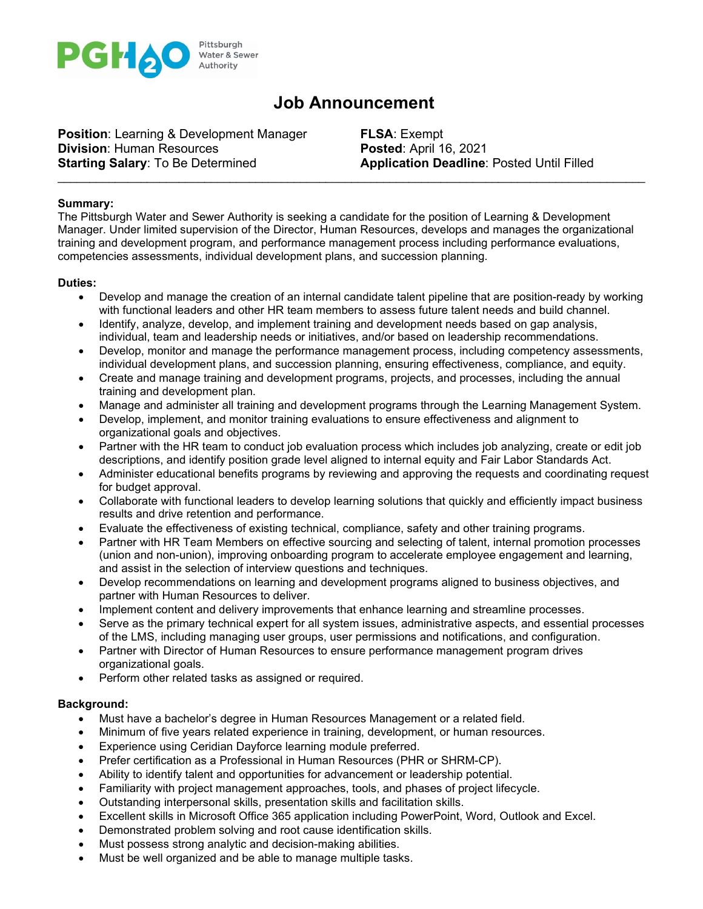

# **Job Announcement**

**Position:** Learning & Development Manager **FLSA:** Exempt **Division:** Human Resources **Posted:** April 16, 2021 **Starting Salary**: To Be Determined **Application Deadline**: Posted Until Filled

## **Summary:**

The Pittsburgh Water and Sewer Authority is seeking a candidate for the position of Learning & Development Manager. Under limited supervision of the Director, Human Resources, develops and manages the organizational training and development program, and performance management process including performance evaluations, competencies assessments, individual development plans, and succession planning.

\_\_\_\_\_\_\_\_\_\_\_\_\_\_\_\_\_\_\_\_\_\_\_\_\_\_\_\_\_\_\_\_\_\_\_\_\_\_\_\_\_\_\_\_\_\_\_\_\_\_\_\_\_\_\_\_\_\_\_\_\_\_\_\_\_\_\_\_\_\_\_\_\_\_\_\_\_\_\_\_\_\_\_\_\_\_\_\_\_\_\_\_

## **Duties:**

- Develop and manage the creation of an internal candidate talent pipeline that are position-ready by working with functional leaders and other HR team members to assess future talent needs and build channel.
- Identify, analyze, develop, and implement training and development needs based on gap analysis, individual, team and leadership needs or initiatives, and/or based on leadership recommendations.
- Develop, monitor and manage the performance management process, including competency assessments, individual development plans, and succession planning, ensuring effectiveness, compliance, and equity.
- Create and manage training and development programs, projects, and processes, including the annual training and development plan.
- Manage and administer all training and development programs through the Learning Management System.
- Develop, implement, and monitor training evaluations to ensure effectiveness and alignment to organizational goals and objectives.
- Partner with the HR team to conduct job evaluation process which includes job analyzing, create or edit job descriptions, and identify position grade level aligned to internal equity and Fair Labor Standards Act.
- Administer educational benefits programs by reviewing and approving the requests and coordinating request for budget approval.
- Collaborate with functional leaders to develop learning solutions that quickly and efficiently impact business results and drive retention and performance.
- Evaluate the effectiveness of existing technical, compliance, safety and other training programs.
- Partner with HR Team Members on effective sourcing and selecting of talent, internal promotion processes (union and non-union), improving onboarding program to accelerate employee engagement and learning, and assist in the selection of interview questions and techniques.
- Develop recommendations on learning and development programs aligned to business objectives, and partner with Human Resources to deliver.
- Implement content and delivery improvements that enhance learning and streamline processes.
- Serve as the primary technical expert for all system issues, administrative aspects, and essential processes of the LMS, including managing user groups, user permissions and notifications, and configuration.
- Partner with Director of Human Resources to ensure performance management program drives organizational goals.
- Perform other related tasks as assigned or required.

## **Background:**

- Must have a bachelor's degree in Human Resources Management or a related field.
- Minimum of five years related experience in training, development, or human resources.
- Experience using Ceridian Dayforce learning module preferred.
- Prefer certification as a Professional in Human Resources (PHR or SHRM-CP).
- Ability to identify talent and opportunities for advancement or leadership potential.
- Familiarity with project management approaches, tools, and phases of project lifecycle.
- Outstanding interpersonal skills, presentation skills and facilitation skills.
- Excellent skills in Microsoft Office 365 application including PowerPoint, Word, Outlook and Excel.
- Demonstrated problem solving and root cause identification skills.
- Must possess strong analytic and decision-making abilities.
- Must be well organized and be able to manage multiple tasks.